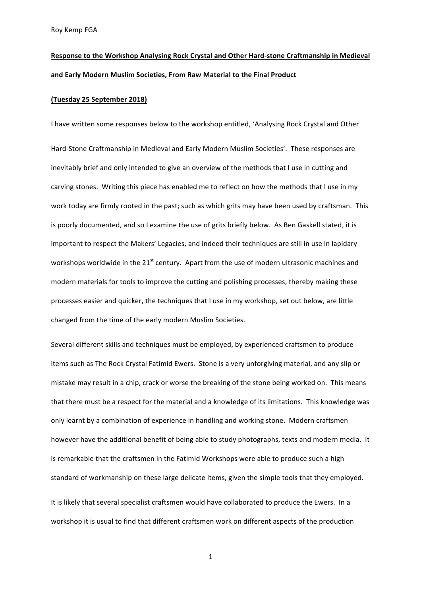# Response to the Workshop Analysing Rock Crystal and Other Hard-stone Craftmanship in Medieval and Early Modern Muslim Societies, From Raw Material to the Final Product

### **(Tuesday 25 September 2018)**

I have written some responses below to the workshop entitled, 'Analysing Rock Crystal and Other Hard-Stone Craftmanship in Medieval and Early Modern Muslim Societies'. These responses are inevitably brief and only intended to give an overview of the methods that I use in cutting and carving stones. Writing this piece has enabled me to reflect on how the methods that I use in my work today are firmly rooted in the past; such as which grits may have been used by craftsman. This is poorly documented, and so I examine the use of grits briefly below. As Ben Gaskell stated, it is important to respect the Makers' Legacies, and indeed their techniques are still in use in lapidary workshops worldwide in the  $21^{st}$  century. Apart from the use of modern ultrasonic machines and modern materials for tools to improve the cutting and polishing processes, thereby making these processes easier and quicker, the techniques that I use in my workshop, set out below, are little changed from the time of the early modern Muslim Societies.

Several different skills and techniques must be employed, by experienced craftsmen to produce items such as The Rock Crystal Fatimid Ewers. Stone is a very unforgiving material, and any slip or mistake may result in a chip, crack or worse the breaking of the stone being worked on. This means that there must be a respect for the material and a knowledge of its limitations. This knowledge was only learnt by a combination of experience in handling and working stone. Modern craftsmen however have the additional benefit of being able to study photographs, texts and modern media. It is remarkable that the craftsmen in the Fatimid Workshops were able to produce such a high standard of workmanship on these large delicate items, given the simple tools that they employed.

It is likely that several specialist craftsmen would have collaborated to produce the Ewers. In a workshop it is usual to find that different craftsmen work on different aspects of the production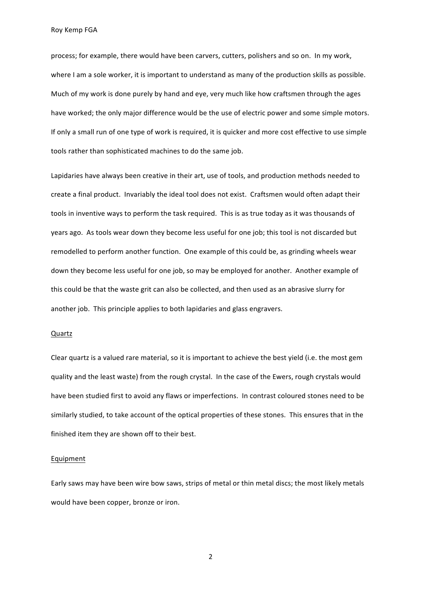process; for example, there would have been carvers, cutters, polishers and so on. In my work, where I am a sole worker, it is important to understand as many of the production skills as possible. Much of my work is done purely by hand and eye, very much like how craftsmen through the ages have worked; the only major difference would be the use of electric power and some simple motors. If only a small run of one type of work is required, it is quicker and more cost effective to use simple tools rather than sophisticated machines to do the same job.

Lapidaries have always been creative in their art, use of tools, and production methods needed to create a final product. Invariably the ideal tool does not exist. Craftsmen would often adapt their tools in inventive ways to perform the task required. This is as true today as it was thousands of years ago. As tools wear down they become less useful for one job; this tool is not discarded but remodelled to perform another function. One example of this could be, as grinding wheels wear down they become less useful for one job, so may be employed for another. Another example of this could be that the waste grit can also be collected, and then used as an abrasive slurry for another job. This principle applies to both lapidaries and glass engravers.

#### Quartz

Clear quartz is a valued rare material, so it is important to achieve the best yield (i.e. the most gem quality and the least waste) from the rough crystal. In the case of the Ewers, rough crystals would have been studied first to avoid any flaws or imperfections. In contrast coloured stones need to be similarly studied, to take account of the optical properties of these stones. This ensures that in the finished item they are shown off to their best.

#### **Equipment**

Early saws may have been wire bow saws, strips of metal or thin metal discs; the most likely metals would have been copper, bronze or iron.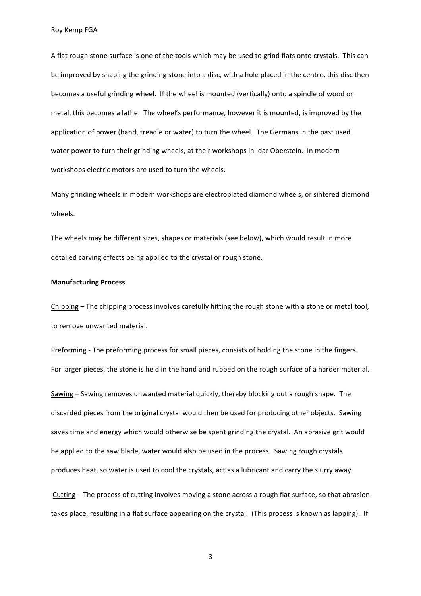A flat rough stone surface is one of the tools which may be used to grind flats onto crystals. This can be improved by shaping the grinding stone into a disc, with a hole placed in the centre, this disc then becomes a useful grinding wheel. If the wheel is mounted (vertically) onto a spindle of wood or metal, this becomes a lathe. The wheel's performance, however it is mounted, is improved by the application of power (hand, treadle or water) to turn the wheel. The Germans in the past used water power to turn their grinding wheels, at their workshops in Idar Oberstein. In modern workshops electric motors are used to turn the wheels.

Many grinding wheels in modern workshops are electroplated diamond wheels, or sintered diamond wheels.

The wheels may be different sizes, shapes or materials (see below), which would result in more detailed carving effects being applied to the crystal or rough stone.

## **Manufacturing Process**

Chipping – The chipping process involves carefully hitting the rough stone with a stone or metal tool, to remove unwanted material.

Preforming - The preforming process for small pieces, consists of holding the stone in the fingers. For larger pieces, the stone is held in the hand and rubbed on the rough surface of a harder material. Sawing – Sawing removes unwanted material quickly, thereby blocking out a rough shape. The discarded pieces from the original crystal would then be used for producing other objects. Sawing saves time and energy which would otherwise be spent grinding the crystal. An abrasive grit would be applied to the saw blade, water would also be used in the process. Sawing rough crystals produces heat, so water is used to cool the crystals, act as a lubricant and carry the slurry away.

Cutting – The process of cutting involves moving a stone across a rough flat surface, so that abrasion takes place, resulting in a flat surface appearing on the crystal. (This process is known as lapping). If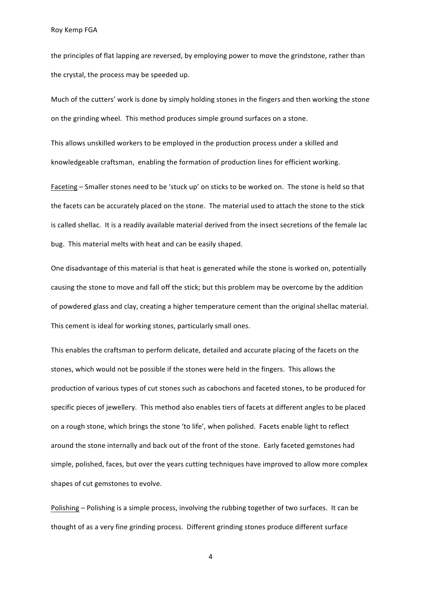the principles of flat lapping are reversed, by employing power to move the grindstone, rather than the crystal, the process may be speeded up.

Much of the cutters' work is done by simply holding stones in the fingers and then working the stone on the grinding wheel. This method produces simple ground surfaces on a stone.

This allows unskilled workers to be employed in the production process under a skilled and knowledgeable craftsman, enabling the formation of production lines for efficient working.

Faceting – Smaller stones need to be 'stuck up' on sticks to be worked on. The stone is held so that the facets can be accurately placed on the stone. The material used to attach the stone to the stick is called shellac. It is a readily available material derived from the insect secretions of the female lac bug. This material melts with heat and can be easily shaped.

One disadvantage of this material is that heat is generated while the stone is worked on, potentially causing the stone to move and fall off the stick; but this problem may be overcome by the addition of powdered glass and clay, creating a higher temperature cement than the original shellac material. This cement is ideal for working stones, particularly small ones.

This enables the craftsman to perform delicate, detailed and accurate placing of the facets on the stones, which would not be possible if the stones were held in the fingers. This allows the production of various types of cut stones such as cabochons and faceted stones, to be produced for specific pieces of jewellery. This method also enables tiers of facets at different angles to be placed on a rough stone, which brings the stone 'to life', when polished. Facets enable light to reflect around the stone internally and back out of the front of the stone. Early faceted gemstones had simple, polished, faces, but over the years cutting techniques have improved to allow more complex shapes of cut gemstones to evolve.

Polishing – Polishing is a simple process, involving the rubbing together of two surfaces. It can be thought of as a very fine grinding process. Different grinding stones produce different surface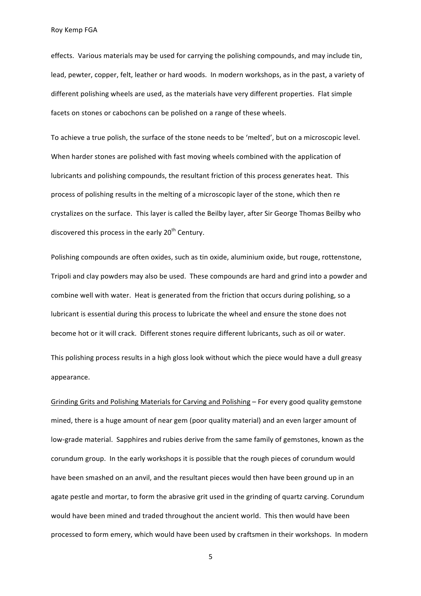effects. Various materials may be used for carrying the polishing compounds, and may include tin, lead, pewter, copper, felt, leather or hard woods. In modern workshops, as in the past, a variety of different polishing wheels are used, as the materials have very different properties. Flat simple facets on stones or cabochons can be polished on a range of these wheels.

To achieve a true polish, the surface of the stone needs to be 'melted', but on a microscopic level. When harder stones are polished with fast moving wheels combined with the application of lubricants and polishing compounds, the resultant friction of this process generates heat. This process of polishing results in the melting of a microscopic layer of the stone, which then re crystalizes on the surface. This layer is called the Beilby layer, after Sir George Thomas Beilby who discovered this process in the early 20<sup>th</sup> Century.

Polishing compounds are often oxides, such as tin oxide, aluminium oxide, but rouge, rottenstone, Tripoli and clay powders may also be used. These compounds are hard and grind into a powder and combine well with water. Heat is generated from the friction that occurs during polishing, so a lubricant is essential during this process to lubricate the wheel and ensure the stone does not become hot or it will crack. Different stones require different lubricants, such as oil or water. This polishing process results in a high gloss look without which the piece would have a dull greasy appearance.

Grinding Grits and Polishing Materials for Carving and Polishing – For every good quality gemstone mined, there is a huge amount of near gem (poor quality material) and an even larger amount of low-grade material. Sapphires and rubies derive from the same family of gemstones, known as the corundum group. In the early workshops it is possible that the rough pieces of corundum would have been smashed on an anvil, and the resultant pieces would then have been ground up in an agate pestle and mortar, to form the abrasive grit used in the grinding of quartz carving. Corundum would have been mined and traded throughout the ancient world. This then would have been processed to form emery, which would have been used by craftsmen in their workshops. In modern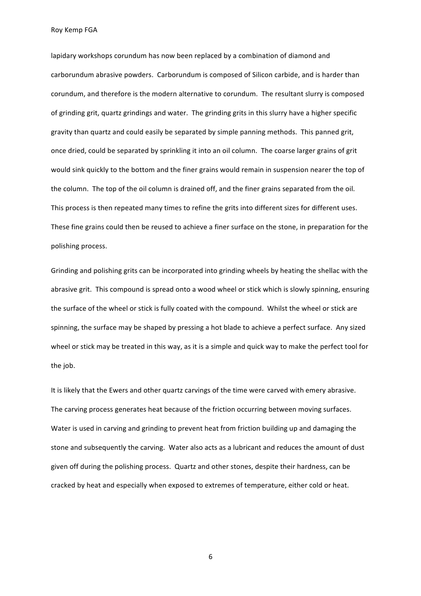lapidary workshops corundum has now been replaced by a combination of diamond and carborundum abrasive powders. Carborundum is composed of Silicon carbide, and is harder than corundum, and therefore is the modern alternative to corundum. The resultant slurry is composed of grinding grit, quartz grindings and water. The grinding grits in this slurry have a higher specific gravity than quartz and could easily be separated by simple panning methods. This panned grit, once dried, could be separated by sprinkling it into an oil column. The coarse larger grains of grit would sink quickly to the bottom and the finer grains would remain in suspension nearer the top of the column. The top of the oil column is drained off, and the finer grains separated from the oil. This process is then repeated many times to refine the grits into different sizes for different uses. These fine grains could then be reused to achieve a finer surface on the stone, in preparation for the polishing process.

Grinding and polishing grits can be incorporated into grinding wheels by heating the shellac with the abrasive grit. This compound is spread onto a wood wheel or stick which is slowly spinning, ensuring the surface of the wheel or stick is fully coated with the compound. Whilst the wheel or stick are spinning, the surface may be shaped by pressing a hot blade to achieve a perfect surface. Any sized wheel or stick may be treated in this way, as it is a simple and quick way to make the perfect tool for the job.

It is likely that the Ewers and other quartz carvings of the time were carved with emery abrasive. The carving process generates heat because of the friction occurring between moving surfaces. Water is used in carving and grinding to prevent heat from friction building up and damaging the stone and subsequently the carving. Water also acts as a lubricant and reduces the amount of dust given off during the polishing process. Quartz and other stones, despite their hardness, can be cracked by heat and especially when exposed to extremes of temperature, either cold or heat.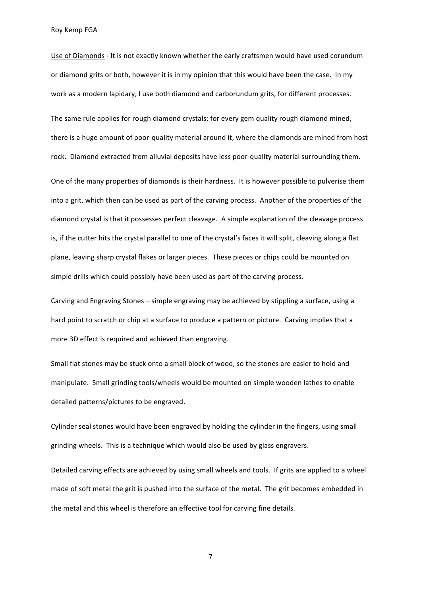Use of Diamonds - It is not exactly known whether the early craftsmen would have used corundum or diamond grits or both, however it is in my opinion that this would have been the case. In my work as a modern lapidary, I use both diamond and carborundum grits, for different processes.

The same rule applies for rough diamond crystals; for every gem quality rough diamond mined, there is a huge amount of poor-quality material around it, where the diamonds are mined from host rock. Diamond extracted from alluvial deposits have less poor-quality material surrounding them.

One of the many properties of diamonds is their hardness. It is however possible to pulverise them into a grit, which then can be used as part of the carving process. Another of the properties of the diamond crystal is that it possesses perfect cleavage. A simple explanation of the cleavage process is, if the cutter hits the crystal parallel to one of the crystal's faces it will split, cleaving along a flat plane, leaving sharp crystal flakes or larger pieces. These pieces or chips could be mounted on simple drills which could possibly have been used as part of the carving process.

Carving and Engraving Stones – simple engraving may be achieved by stippling a surface, using a hard point to scratch or chip at a surface to produce a pattern or picture. Carving implies that a more 3D effect is required and achieved than engraving.

Small flat stones may be stuck onto a small block of wood, so the stones are easier to hold and manipulate. Small grinding tools/wheels would be mounted on simple wooden lathes to enable detailed patterns/pictures to be engraved.

Cylinder seal stones would have been engraved by holding the cylinder in the fingers, using small grinding wheels. This is a technique which would also be used by glass engravers.

Detailed carving effects are achieved by using small wheels and tools. If grits are applied to a wheel made of soft metal the grit is pushed into the surface of the metal. The grit becomes embedded in the metal and this wheel is therefore an effective tool for carving fine details.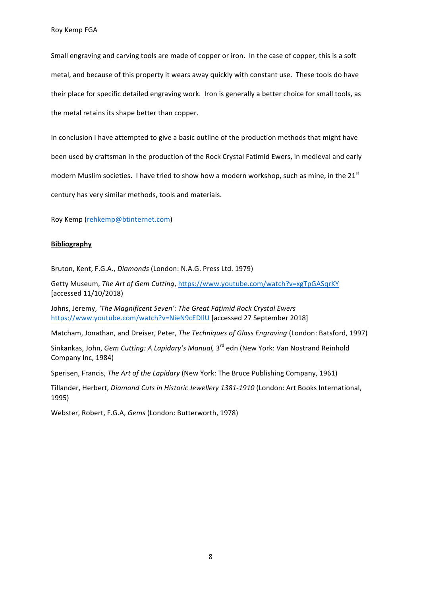Small engraving and carving tools are made of copper or iron. In the case of copper, this is a soft metal, and because of this property it wears away quickly with constant use. These tools do have their place for specific detailed engraving work. Iron is generally a better choice for small tools, as the metal retains its shape better than copper.

In conclusion I have attempted to give a basic outline of the production methods that might have been used by craftsman in the production of the Rock Crystal Fatimid Ewers, in medieval and early modern Muslim societies. I have tried to show how a modern workshop, such as mine, in the 21<sup>st</sup> century has very similar methods, tools and materials.

Roy Kemp (rehkemp@btinternet.com)

## **Bibliography**

Bruton, Kent, F.G.A., *Diamonds* (London: N.A.G. Press Ltd. 1979)

Getty Museum, The Art of Gem Cutting, https://www.youtube.com/watch?v=xgTpGASqrKY [accessed 11/10/2018)

Johns, Jeremy, 'The Magnificent Seven': The Great Fāțimid Rock Crystal Ewers https://www.youtube.com/watch?v=NieN9cEDIIU [accessed 27 September 2018]

Matcham, Jonathan, and Dreiser, Peter, *The Techniques of Glass Engraving* (London: Batsford, 1997)

Sinkankas, John, *Gem Cutting: A Lapidary's Manual*, 3<sup>rd</sup> edn (New York: Van Nostrand Reinhold Company Inc, 1984)

Sperisen, Francis, *The Art of the Lapidary* (New York: The Bruce Publishing Company, 1961)

Tillander, Herbert, *Diamond Cuts in Historic Jewellery 1381-1910* (London: Art Books International, 1995)

Webster, Robert, F.G.A, *Gems* (London: Butterworth, 1978)